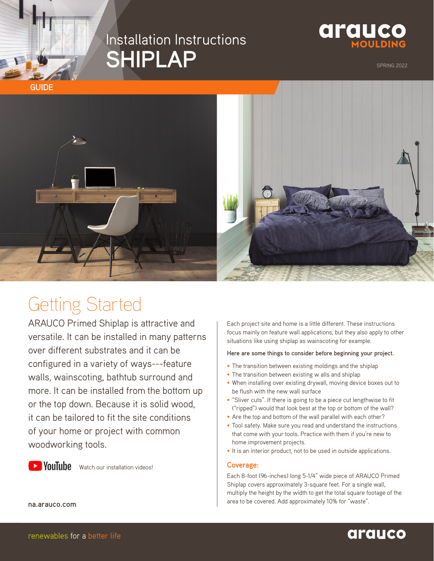## Installation Instructions **SHIPLAP**



SPRING 2022



# Getting Started

ARAUCO Primed Shiplap is attractive and versatile. It can be installed in many patterns over different substrates and it can be configured in a variety of ways---feature walls, wainscoting, bathtub surround and more. It can be installed from the bottom up or the top down. Because it is solid wood, it can be tailored to fit the site conditions of your home or project with common woodworking tools.



**D YouTube** [Watch our installation videos!](https://www.youtube.com/playlist?list=PLK8dny-nliuC9ZNJEEyX8FrfSpf7Ffn4L)

Each project site and home is a little different. These instructions focus mainly on feature wall applications, but they also apply to other situations like using shiplap as wainscoting for example.

#### **Here are some things to consider before beginning your project.**

- The transition between existing moldings and the shiplap
- The transition between existing w alls and shiplap
- When installing over existing drywall, moving device boxes out to be flush with the new wall surface
- "Sliver cuts". If there is going to be a piece cut lengthwise to fit ("ripped") would that look best at the top or bottom of the wall?
- Are the top and bottom of the wall parallel with each other?
- Tool safety. Make sure you read and understand the instructions that come with your tools. Practice with them if you're new to home improvement projects.
- It is an interior product, not to be used in outside applications.

#### **Coverage:**

Each 8-foot (96-inches) long 5-1/4" wide piece of ARAUCO Primed Shiplap covers approximately 3-square feet. For a single wall, multiply the height by the width to get the total square footage of the area to be covered. Add approximately 10% for "waste".

**na.arauco.com**

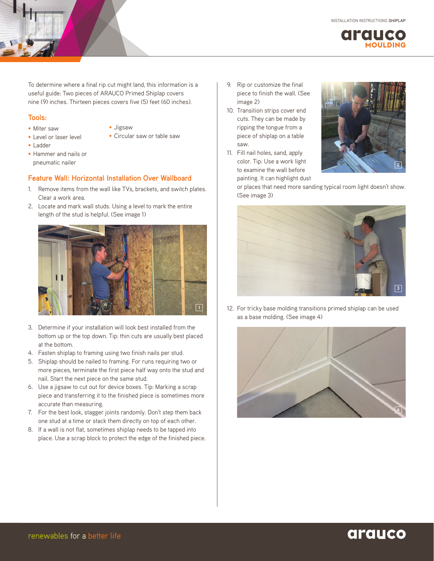

To determine where a final rip cut might land, this information is a useful guide: Two pieces of ARAUCO Primed Shiplap covers nine (9) inches. Thirteen pieces covers five (5) feet (60 inches).

#### **Tools:**

- Miter saw
- Jigsaw
- Circular saw or table saw

- Ladder
- Hammer and nails or pneumatic nailer

• Level or laser level

#### **Feature Wall: Horizontal Installation Over Wallboard**

- 1. Remove items from the wall like TVs, brackets, and switch plates. Clear a work area.
- 2. Locate and mark wall studs. Using a level to mark the entire length of the stud is helpful. (See image 1)



- 3. Determine if your installation will look best installed from the bottom up or the top down. Tip: thin cuts are usually best placed at the bottom.
- 4. Fasten shiplap to framing using two finish nails per stud.
- 5. Shiplap should be nailed to framing. For runs requiring two or more pieces, terminate the first piece half way onto the stud and nail. Start the next piece on the same stud.
- 6. Use a jigsaw to cut out for device boxes. Tip: Marking a scrap piece and transferring it to the finished piece is sometimes more accurate than measuring.
- 7. For the best look, stagger joints randomly. Don't step them back one stud at a time or stack them directly on top of each other.
- 8. If a wall is not flat, sometimes shiplap needs to be tapped into place. Use a scrap block to protect the edge of the finished piece.
- 9. Rip or customize the final piece to finish the wall. (See image 2)
- 10. Transition strips cover end cuts. They can be made by ripping the tongue from a piece of shiplap on a table saw.
- 11. Fill nail holes, sand, apply color. Tip: Use a work light to examine the wall before painting. It can highlight dust



or places that need more sanding typical room light doesn't show. (See image 3)



12. For tricky base molding transitions primed shiplap can be used as a base molding. (See image 4)